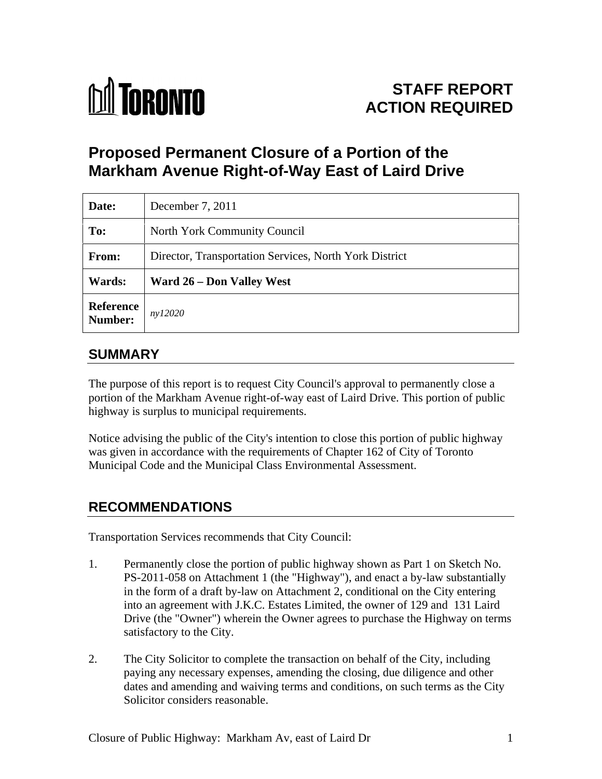

# **STAFF REPORT ACTION REQUIRED**

# **Proposed Permanent Closure of a Portion of the Markham Avenue Right-of-Way East of Laird Drive**

| Date:                | December 7, 2011                                       |
|----------------------|--------------------------------------------------------|
| To:                  | North York Community Council                           |
| From:                | Director, Transportation Services, North York District |
| <b>Wards:</b>        | <b>Ward 26 – Don Valley West</b>                       |
| Reference<br>Number: | ny12020                                                |

### **SUMMARY**

The purpose of this report is to request City Council's approval to permanently close a portion of the Markham Avenue right-of-way east of Laird Drive. This portion of public highway is surplus to municipal requirements.

Notice advising the public of the City's intention to close this portion of public highway was given in accordance with the requirements of Chapter 162 of City of Toronto Municipal Code and the Municipal Class Environmental Assessment.

# **RECOMMENDATIONS**

Transportation Services recommends that City Council:

- 1. Permanently close the portion of public highway shown as Part 1 on Sketch No. PS-2011-058 on Attachment 1 (the "Highway"), and enact a by-law substantially in the form of a draft by-law on Attachment 2, conditional on the City entering into an agreement with J.K.C. Estates Limited, the owner of 129 and 131 Laird Drive (the "Owner") wherein the Owner agrees to purchase the Highway on terms satisfactory to the City.
- 2. The City Solicitor to complete the transaction on behalf of the City, including paying any necessary expenses, amending the closing, due diligence and other dates and amending and waiving terms and conditions, on such terms as the City Solicitor considers reasonable.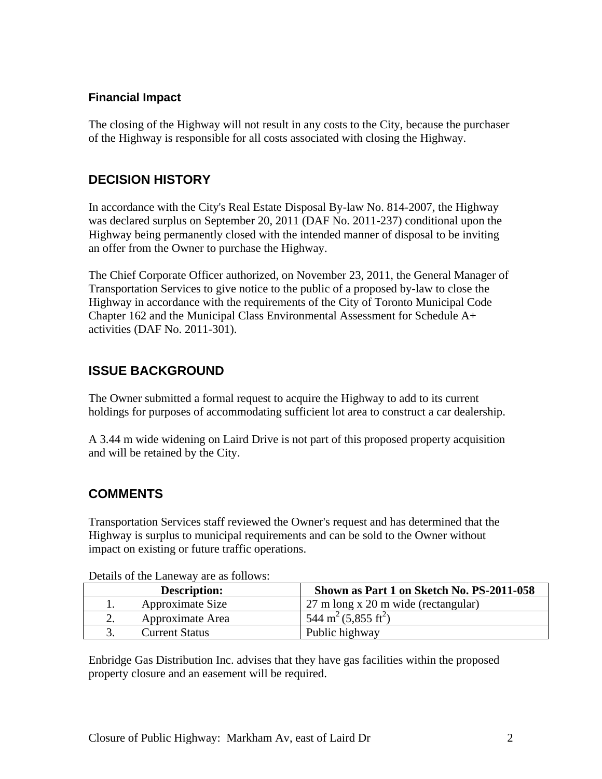#### **Financial Impact**

The closing of the Highway will not result in any costs to the City, because the purchaser of the Highway is responsible for all costs associated with closing the Highway.

### **DECISION HISTORY**

In accordance with the City's Real Estate Disposal By-law No. 814-2007, the Highway was declared surplus on September 20, 2011 (DAF No. 2011-237) conditional upon the Highway being permanently closed with the intended manner of disposal to be inviting an offer from the Owner to purchase the Highway.

The Chief Corporate Officer authorized, on November 23, 2011, the General Manager of Transportation Services to give notice to the public of a proposed by-law to close the Highway in accordance with the requirements of the City of Toronto Municipal Code Chapter 162 and the Municipal Class Environmental Assessment for Schedule A+ activities (DAF No. 2011-301).

# **ISSUE BACKGROUND**

The Owner submitted a formal request to acquire the Highway to add to its current holdings for purposes of accommodating sufficient lot area to construct a car dealership.

A 3.44 m wide widening on Laird Drive is not part of this proposed property acquisition and will be retained by the City.

# **COMMENTS**

Transportation Services staff reviewed the Owner's request and has determined that the Highway is surplus to municipal requirements and can be sold to the Owner without impact on existing or future traffic operations.

|  | Description:          | Shown as Part 1 on Sketch No. PS-2011-058 |
|--|-----------------------|-------------------------------------------|
|  | pproximate Size       | 27 m long x 20 m wide (rectangular)       |
|  |                       |                                           |
|  | Approximate Area      | $544 \text{ m}^2 (5,855 \text{ ft}^2)$    |
|  | <b>Current Status</b> | Public highway                            |
|  |                       |                                           |

Details of the Laneway are as follows:

Enbridge Gas Distribution Inc. advises that they have gas facilities within the proposed property closure and an easement will be required.